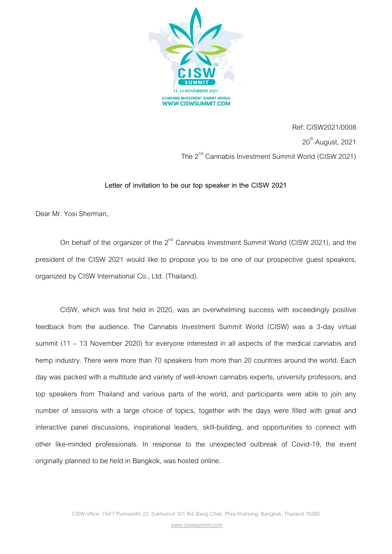

Ref: CISW2021/0008  $20<sup>th</sup>$  August, 2021 The 2<sup>nd</sup> Cannabis Investment Summit World (CISW 2021)

## **Letter of invitation to be our top speaker in the CISW 2021**

Dear Mr. Yosi Sherman,

On behalf of the organizer of the  $2<sup>nd</sup>$  Cannabis Investment Summit World (CISW 2021), and the president of the CISW 2021 would like to propose you to be one of our prospective guest speakers, organized by CISW International Co., Ltd. (Thailand).

 CISW, which was first held in 2020, was an overwhelming success with exceedingly positive feedback from the audience. The Cannabis Investment Summit World (CISW) was a 3-day virtual summit (11 – 13 November 2020) for everyone interested in all aspects of the medical cannabis and hemp industry. There were more than 70 speakers from more than 20 countries around the world. Each day was packed with a multitude and variety of well-known cannabis experts, university professors, and top speakers from Thailand and various parts of the world, and participants were able to join any number of sessions with a large choice of topics, together with the days were filled with great and interactive panel discussions, inspirational leaders, skill-building, and opportunities to connect with other like-minded professionals. In response to the unexpected outbreak of Covid-19, the event originally planned to be held in Bangkok, was hosted online.

www.ciswsummit.com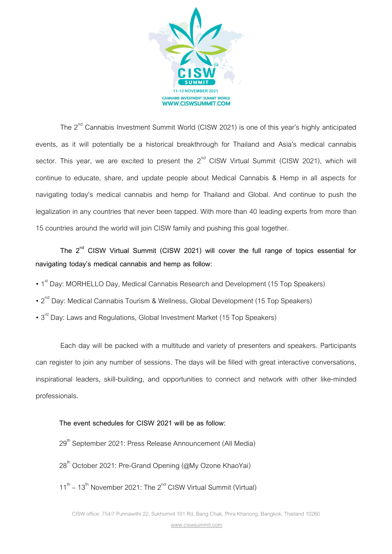

The 2<sup>nd</sup> Cannabis Investment Summit World (CISW 2021) is one of this year's highly anticipated events, as it will potentially be a historical breakthrough for Thailand and Asia's medical cannabis sector. This year, we are excited to present the  $2^{nd}$  CISW Virtual Summit (CISW 2021), which will continue to educate, share, and update people about Medical Cannabis & Hemp in all aspects for navigating today's medical cannabis and hemp for Thailand and Global. And continue to push the legalization in any countries that never been tapped. With more than 40 leading experts from more than 15 countries around the world will join CISW family and pushing this goal together.

 **The 2nd CISW Virtual Summit (CISW 2021) will cover the full range of topics essential for navigating today's medical cannabis and hemp as follow:**

- 1<sup>st</sup> Day: MORHELLO Day, Medical Cannabis Research and Development (15 Top Speakers)
- 2<sup>nd</sup> Day: Medical Cannabis Tourism & Wellness, Global Development (15 Top Speakers)
- 3<sup>rd</sup> Day: Laws and Regulations, Global Investment Market (15 Top Speakers)

 Each day will be packed with a multitude and variety of presenters and speakers. Participants can register to join any number of sessions. The days will be filled with great interactive conversations, inspirational leaders, skill-building, and opportunities to connect and network with other like-minded professionals.

## **The event schedules for CISW 2021 will be as follow:**

- 29<sup>th</sup> September 2021: Press Release Announcement (All Media)
- 28<sup>th</sup> October 2021: Pre-Grand Opening (@My Ozone KhaoYai)
- $11<sup>th</sup> 13<sup>th</sup>$  November 2021: The 2<sup>nd</sup> CISW Virtual Summit (Virtual)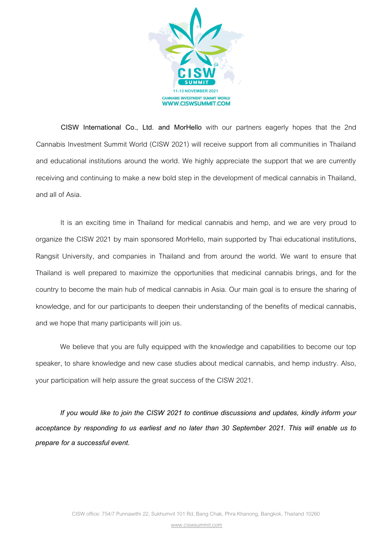

 **CISW International Co., Ltd. and MorHello** with our partners eagerly hopes that the 2nd Cannabis Investment Summit World (CISW 2021) will receive support from all communities in Thailand and educational institutions around the world. We highly appreciate the support that we are currently receiving and continuing to make a new bold step in the development of medical cannabis in Thailand, and all of Asia.

 It is an exciting time in Thailand for medical cannabis and hemp, and we are very proud to organize the CISW 2021 by main sponsored MorHello, main supported by Thai educational institutions, Rangsit University, and companies in Thailand and from around the world. We want to ensure that Thailand is well prepared to maximize the opportunities that medicinal cannabis brings, and for the country to become the main hub of medical cannabis in Asia. Our main goal is to ensure the sharing of knowledge, and for our participants to deepen their understanding of the benefits of medical cannabis, and we hope that many participants will join us.

 We believe that you are fully equipped with the knowledge and capabilities to become our top speaker, to share knowledge and new case studies about medical cannabis, and hemp industry. Also, your participation will help assure the great success of the CISW 2021.

 *If you would like to join the CISW 2021 to continue discussions and updates, kindly inform your acceptance by responding to us earliest and no later than 30 September 2021. This will enable us to prepare for a successful event.* 

www.ciswsummit.com